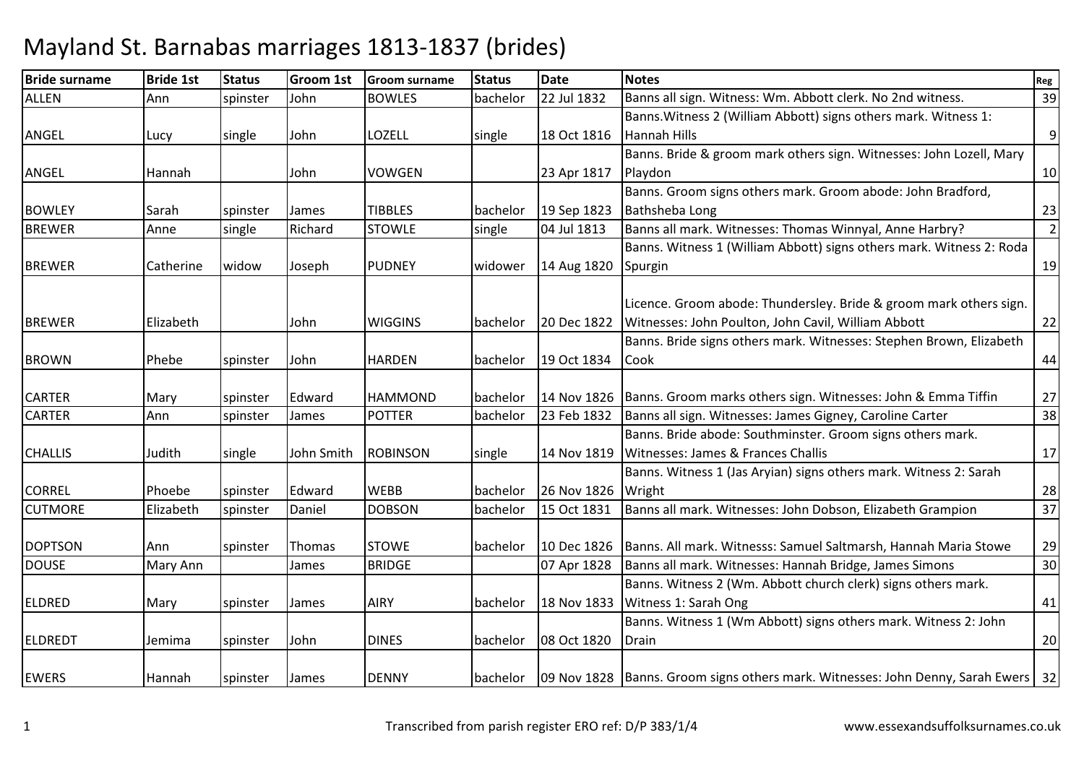## Mayland St. Barnabas marriages 1813-1837 (brides)

| <b>Bride surname</b> | <b>Bride 1st</b> | <b>Status</b> | Groom 1st  | <b>Groom surname</b> | <b>Status</b> | <b>Date</b> | <b>Notes</b>                                                                          | Reg            |
|----------------------|------------------|---------------|------------|----------------------|---------------|-------------|---------------------------------------------------------------------------------------|----------------|
| <b>ALLEN</b>         | Ann              | spinster      | John       | <b>BOWLES</b>        | bachelor      | 22 Jul 1832 | Banns all sign. Witness: Wm. Abbott clerk. No 2nd witness.                            | 39             |
|                      |                  |               |            |                      |               |             | Banns. Witness 2 (William Abbott) signs others mark. Witness 1:                       |                |
| ANGEL                | Lucy             | single        | John       | LOZELL               | single        | 18 Oct 1816 | Hannah Hills                                                                          | $\overline{9}$ |
|                      |                  |               |            |                      |               |             | Banns. Bride & groom mark others sign. Witnesses: John Lozell, Mary                   |                |
| ANGEL                | Hannah           |               | John       | <b>VOWGEN</b>        |               | 23 Apr 1817 | Playdon                                                                               | 10             |
|                      |                  |               |            |                      |               |             | Banns. Groom signs others mark. Groom abode: John Bradford,                           |                |
| <b>BOWLEY</b>        | Sarah            | spinster      | James      | <b>TIBBLES</b>       | bachelor      | 19 Sep 1823 | Bathsheba Long                                                                        | 23             |
| <b>BREWER</b>        | Anne             | single        | Richard    | <b>STOWLE</b>        | single        | 04 Jul 1813 | Banns all mark. Witnesses: Thomas Winnyal, Anne Harbry?                               | $\overline{2}$ |
|                      |                  |               |            |                      |               |             | Banns. Witness 1 (William Abbott) signs others mark. Witness 2: Roda                  |                |
| <b>BREWER</b>        | Catherine        | widow         | Joseph     | <b>PUDNEY</b>        | widower       | 14 Aug 1820 | Spurgin                                                                               | 19             |
|                      |                  |               |            |                      |               |             |                                                                                       |                |
|                      |                  |               |            |                      |               |             | Licence. Groom abode: Thundersley. Bride & groom mark others sign.                    |                |
| <b>BREWER</b>        | Elizabeth        |               | John       | <b>WIGGINS</b>       | bachelor      | 20 Dec 1822 | Witnesses: John Poulton, John Cavil, William Abbott                                   | 22             |
|                      |                  |               |            |                      |               |             | Banns. Bride signs others mark. Witnesses: Stephen Brown, Elizabeth                   |                |
| <b>BROWN</b>         | Phebe            | spinster      | John       | <b>HARDEN</b>        | bachelor      | 19 Oct 1834 | Cook                                                                                  | 44             |
|                      |                  |               |            |                      |               |             |                                                                                       |                |
| <b>CARTER</b>        | Mary             | spinster      | Edward     | <b>HAMMOND</b>       | bachelor      | 14 Nov 1826 | Banns. Groom marks others sign. Witnesses: John & Emma Tiffin                         | 27             |
| <b>CARTER</b>        | Ann              | spinster      | James      | <b>POTTER</b>        | bachelor      | 23 Feb 1832 | Banns all sign. Witnesses: James Gigney, Caroline Carter                              | 38             |
|                      |                  |               |            |                      |               |             | Banns. Bride abode: Southminster. Groom signs others mark.                            |                |
| <b>CHALLIS</b>       | Judith           | single        | John Smith | <b>ROBINSON</b>      | single        | 14 Nov 1819 | Witnesses: James & Frances Challis                                                    | 17             |
|                      |                  |               |            |                      |               |             | Banns. Witness 1 (Jas Aryian) signs others mark. Witness 2: Sarah                     |                |
| <b>CORREL</b>        | Phoebe           | spinster      | Edward     | <b>WEBB</b>          | bachelor      | 26 Nov 1826 | Wright                                                                                | 28             |
| <b>CUTMORE</b>       | Elizabeth        | spinster      | Daniel     | <b>DOBSON</b>        | bachelor      | 15 Oct 1831 | Banns all mark. Witnesses: John Dobson, Elizabeth Grampion                            | 37             |
|                      |                  |               |            |                      |               |             |                                                                                       |                |
| <b>DOPTSON</b>       | Ann              | spinster      | Thomas     | <b>STOWE</b>         | bachelor      | 10 Dec 1826 | Banns. All mark. Witnesss: Samuel Saltmarsh, Hannah Maria Stowe                       | 29             |
| <b>DOUSE</b>         | Mary Ann         |               | James      | <b>BRIDGE</b>        |               | 07 Apr 1828 | Banns all mark. Witnesses: Hannah Bridge, James Simons                                | 30             |
|                      |                  |               |            |                      |               |             | Banns. Witness 2 (Wm. Abbott church clerk) signs others mark.                         |                |
| <b>ELDRED</b>        | Mary             | spinster      | James      | <b>AIRY</b>          | bachelor      | 18 Nov 1833 | Witness 1: Sarah Ong                                                                  | 41             |
|                      |                  |               |            |                      |               |             | Banns. Witness 1 (Wm Abbott) signs others mark. Witness 2: John                       |                |
| <b>ELDREDT</b>       | Jemima           | spinster      | John       | <b>DINES</b>         | bachelor      | 08 Oct 1820 | Drain                                                                                 | 20             |
|                      |                  |               |            |                      |               |             |                                                                                       |                |
| <b>EWERS</b>         | Hannah           | spinster      | James      | <b>DENNY</b>         | bachelor      |             | 09 Nov 1828   Banns. Groom signs others mark. Witnesses: John Denny, Sarah Ewers   32 |                |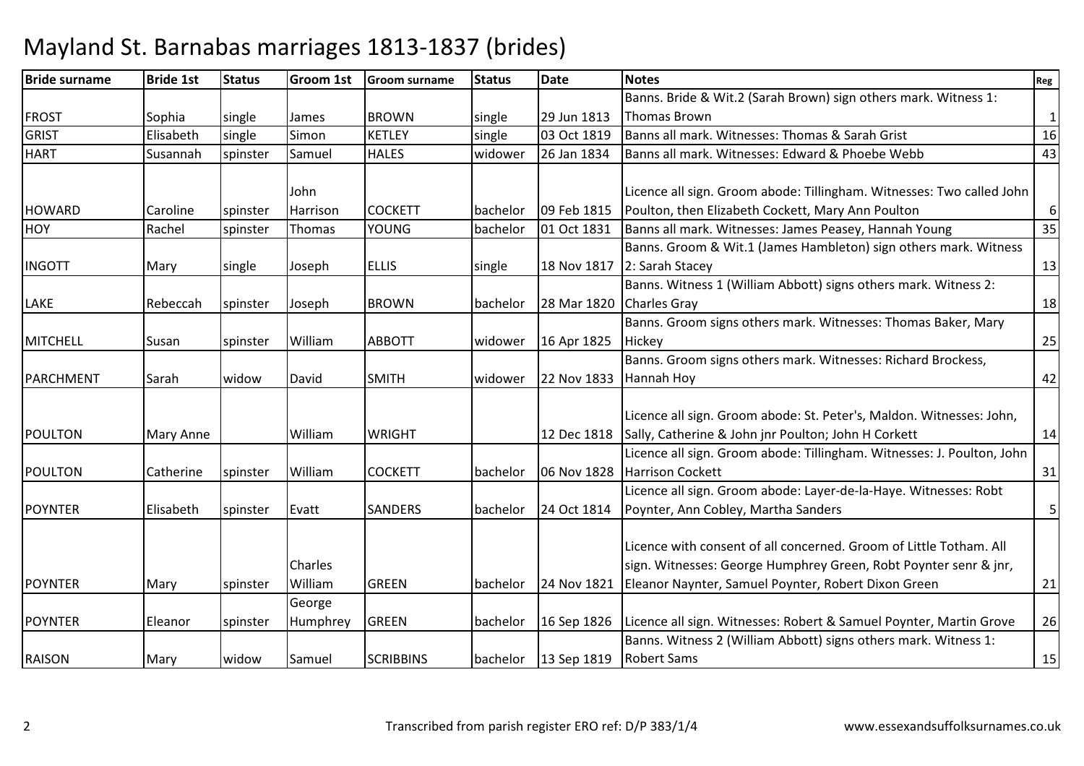| <b>Bride surname</b> | <b>Bride 1st</b> | <b>Status</b> | Groom 1st      | <b>Groom surname</b> | <b>Status</b> | <b>Date</b> | <b>Notes</b>                                                           | Reg          |
|----------------------|------------------|---------------|----------------|----------------------|---------------|-------------|------------------------------------------------------------------------|--------------|
|                      |                  |               |                |                      |               |             | Banns. Bride & Wit.2 (Sarah Brown) sign others mark. Witness 1:        |              |
| <b>FROST</b>         | Sophia           | single        | <b>James</b>   | <b>BROWN</b>         | single        | 29 Jun 1813 | <b>Thomas Brown</b>                                                    | $\mathbf{1}$ |
| <b>GRIST</b>         | Elisabeth        | single        | Simon          | <b>KETLEY</b>        | single        | 03 Oct 1819 | Banns all mark. Witnesses: Thomas & Sarah Grist                        | 16           |
| <b>HART</b>          | Susannah         | spinster      | Samuel         | <b>HALES</b>         | widower       | 26 Jan 1834 | Banns all mark. Witnesses: Edward & Phoebe Webb                        | 43           |
|                      |                  |               |                |                      |               |             |                                                                        |              |
|                      |                  |               | John           |                      |               |             | Licence all sign. Groom abode: Tillingham. Witnesses: Two called John  |              |
| <b>HOWARD</b>        | Caroline         | spinster      | Harrison       | <b>COCKETT</b>       | bachelor      | 09 Feb 1815 | Poulton, then Elizabeth Cockett, Mary Ann Poulton                      | 6            |
| <b>HOY</b>           | Rachel           | spinster      | Thomas         | <b>YOUNG</b>         | bachelor      | 01 Oct 1831 | Banns all mark. Witnesses: James Peasey, Hannah Young                  | 35           |
|                      |                  |               |                |                      |               |             | Banns. Groom & Wit.1 (James Hambleton) sign others mark. Witness       |              |
| <b>INGOTT</b>        | Mary             | single        | Joseph         | <b>ELLIS</b>         | single        | 18 Nov 1817 | 2: Sarah Stacey                                                        | 13           |
|                      |                  |               |                |                      |               |             | Banns. Witness 1 (William Abbott) signs others mark. Witness 2:        |              |
| LAKE                 | Rebeccah         | spinster      | Joseph         | <b>BROWN</b>         | bachelor      | 28 Mar 1820 | Charles Gray                                                           | 18           |
|                      |                  |               |                |                      |               |             | Banns. Groom signs others mark. Witnesses: Thomas Baker, Mary          |              |
| <b>MITCHELL</b>      | Susan            | spinster      | William        | <b>ABBOTT</b>        | widower       | 16 Apr 1825 | Hickey                                                                 | 25           |
|                      |                  |               |                |                      |               |             | Banns. Groom signs others mark. Witnesses: Richard Brockess,           |              |
| <b>PARCHMENT</b>     | Sarah            | widow         | David          | <b>SMITH</b>         | widower       | 22 Nov 1833 | Hannah Hoy                                                             | 42           |
|                      |                  |               |                |                      |               |             |                                                                        |              |
|                      |                  |               |                |                      |               |             | Licence all sign. Groom abode: St. Peter's, Maldon. Witnesses: John,   |              |
| POULTON              | Mary Anne        |               | William        | <b>WRIGHT</b>        |               | 12 Dec 1818 | Sally, Catherine & John jnr Poulton; John H Corkett                    | 14           |
|                      |                  |               |                |                      |               |             | Licence all sign. Groom abode: Tillingham. Witnesses: J. Poulton, John |              |
| <b>POULTON</b>       | Catherine        | spinster      | William        | <b>COCKETT</b>       | bachelor      | 06 Nov 1828 | <b>Harrison Cockett</b>                                                | 31           |
|                      |                  |               |                |                      |               |             | Licence all sign. Groom abode: Layer-de-la-Haye. Witnesses: Robt       |              |
| <b>POYNTER</b>       | Elisabeth        | spinster      | Evatt          | <b>SANDERS</b>       | bachelor      | 24 Oct 1814 | Poynter, Ann Cobley, Martha Sanders                                    | 5            |
|                      |                  |               |                |                      |               |             |                                                                        |              |
|                      |                  |               |                |                      |               |             | Licence with consent of all concerned. Groom of Little Totham, All     |              |
|                      |                  |               | <b>Charles</b> |                      |               |             | sign. Witnesses: George Humphrey Green, Robt Poynter senr & jnr,       |              |
| <b>POYNTER</b>       | Mary             | spinster      | William        | <b>GREEN</b>         | bachelor      | 24 Nov 1821 | Eleanor Naynter, Samuel Poynter, Robert Dixon Green                    | 21           |
|                      |                  |               | George         |                      |               |             |                                                                        |              |
| <b>POYNTER</b>       | Eleanor          | spinster      | Humphrey       | <b>GREEN</b>         | bachelor      | 16 Sep 1826 | Licence all sign. Witnesses: Robert & Samuel Poynter, Martin Grove     | 26           |
|                      |                  |               |                |                      |               |             | Banns. Witness 2 (William Abbott) signs others mark. Witness 1:        |              |
| <b>RAISON</b>        | Mary             | widow         | Samuel         | <b>SCRIBBINS</b>     | bachelor      | 13 Sep 1819 | <b>Robert Sams</b>                                                     | 15           |

## Mayland St. Barnabas marriages 1813-1837 (brides)